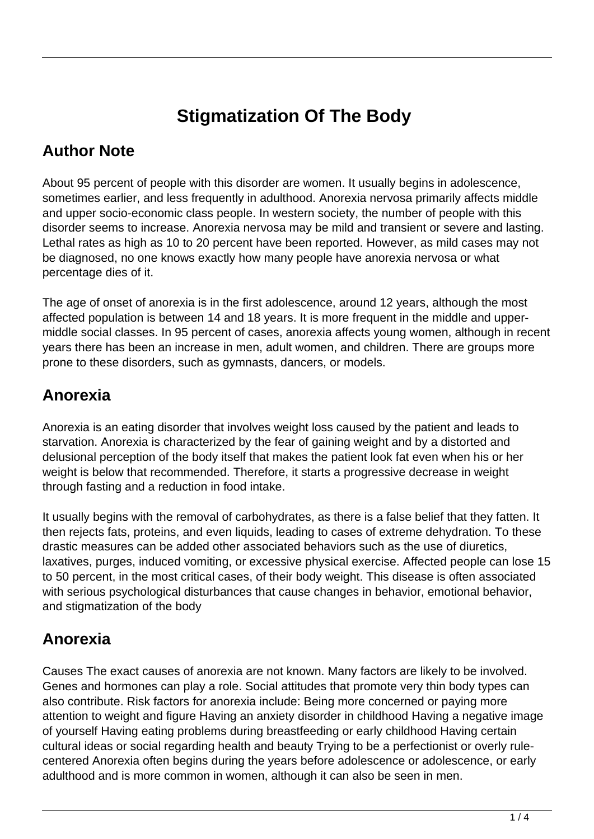# **Stigmatization Of The Body**

#### **Author Note**

About 95 percent of people with this disorder are women. It usually begins in adolescence, sometimes earlier, and less frequently in adulthood. Anorexia nervosa primarily affects middle and upper socio-economic class people. In western society, the number of people with this disorder seems to increase. Anorexia nervosa may be mild and transient or severe and lasting. Lethal rates as high as 10 to 20 percent have been reported. However, as mild cases may not be diagnosed, no one knows exactly how many people have anorexia nervosa or what percentage dies of it.

The age of onset of anorexia is in the first adolescence, around 12 years, although the most affected population is between 14 and 18 years. It is more frequent in the middle and uppermiddle social classes. In 95 percent of cases, anorexia affects young women, although in recent years there has been an increase in men, adult women, and children. There are groups more prone to these disorders, such as gymnasts, dancers, or models.

## **Anorexia**

Anorexia is an eating disorder that involves weight loss caused by the patient and leads to starvation. Anorexia is characterized by the fear of gaining weight and by a distorted and delusional perception of the body itself that makes the patient look fat even when his or her weight is below that recommended. Therefore, it starts a progressive decrease in weight through fasting and a reduction in food intake.

It usually begins with the removal of carbohydrates, as there is a false belief that they fatten. It then rejects fats, proteins, and even liquids, leading to cases of extreme dehydration. To these drastic measures can be added other associated behaviors such as the use of diuretics, laxatives, purges, induced vomiting, or excessive physical exercise. Affected people can lose 15 to 50 percent, in the most critical cases, of their body weight. This disease is often associated with serious psychological disturbances that cause changes in behavior, emotional behavior, and stigmatization of the body

## **Anorexia**

Causes The exact causes of anorexia are not known. Many factors are likely to be involved. Genes and hormones can play a role. Social attitudes that promote very thin body types can also contribute. Risk factors for anorexia include: Being more concerned or paying more attention to weight and figure Having an anxiety disorder in childhood Having a negative image of yourself Having eating problems during breastfeeding or early childhood Having certain cultural ideas or social regarding health and beauty Trying to be a perfectionist or overly rulecentered Anorexia often begins during the years before adolescence or adolescence, or early adulthood and is more common in women, although it can also be seen in men.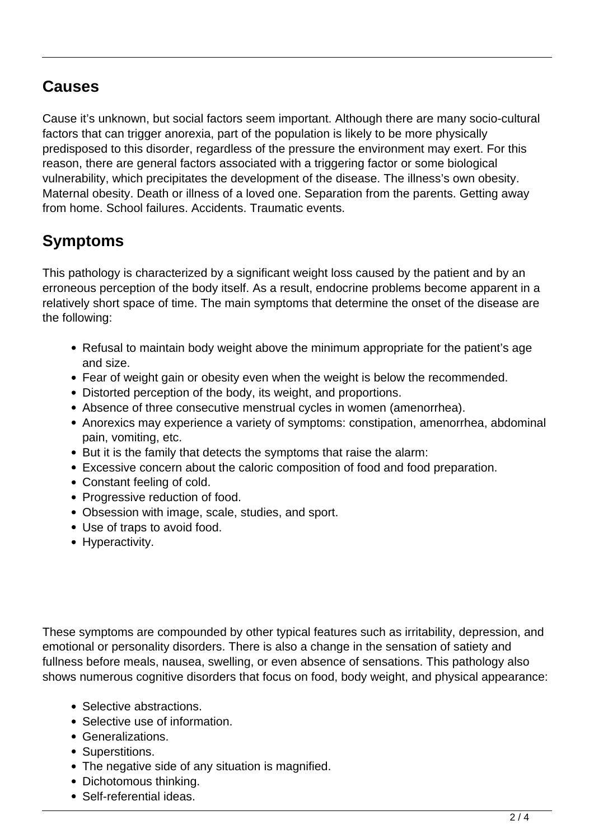#### **Causes**

Cause it's unknown, but social factors seem important. Although there are many socio-cultural factors that can trigger anorexia, part of the population is likely to be more physically predisposed to this disorder, regardless of the pressure the environment may exert. For this reason, there are general factors associated with a triggering factor or some biological vulnerability, which precipitates the development of the disease. The illness's own obesity. Maternal obesity. Death or illness of a loved one. Separation from the parents. Getting away from home. School failures. Accidents. Traumatic events.

# **Symptoms**

This pathology is characterized by a significant weight loss caused by the patient and by an erroneous perception of the body itself. As a result, endocrine problems become apparent in a relatively short space of time. The main symptoms that determine the onset of the disease are the following:

- Refusal to maintain body weight above the minimum appropriate for the patient's age and size.
- Fear of weight gain or obesity even when the weight is below the recommended.
- Distorted perception of the body, its weight, and proportions.
- Absence of three consecutive menstrual cycles in women (amenorrhea).
- Anorexics may experience a variety of symptoms: constipation, amenorrhea, abdominal pain, vomiting, etc.
- But it is the family that detects the symptoms that raise the alarm:
- Excessive concern about the caloric composition of food and food preparation.
- Constant feeling of cold.
- Progressive reduction of food.
- Obsession with image, scale, studies, and sport.
- Use of traps to avoid food.
- Hyperactivity.

These symptoms are compounded by other typical features such as irritability, depression, and emotional or personality disorders. There is also a change in the sensation of satiety and fullness before meals, nausea, swelling, or even absence of sensations. This pathology also shows numerous cognitive disorders that focus on food, body weight, and physical appearance:

- Selective abstractions.
- Selective use of information.
- Generalizations.
- Superstitions.
- The negative side of any situation is magnified.
- Dichotomous thinking.
- Self-referential ideas.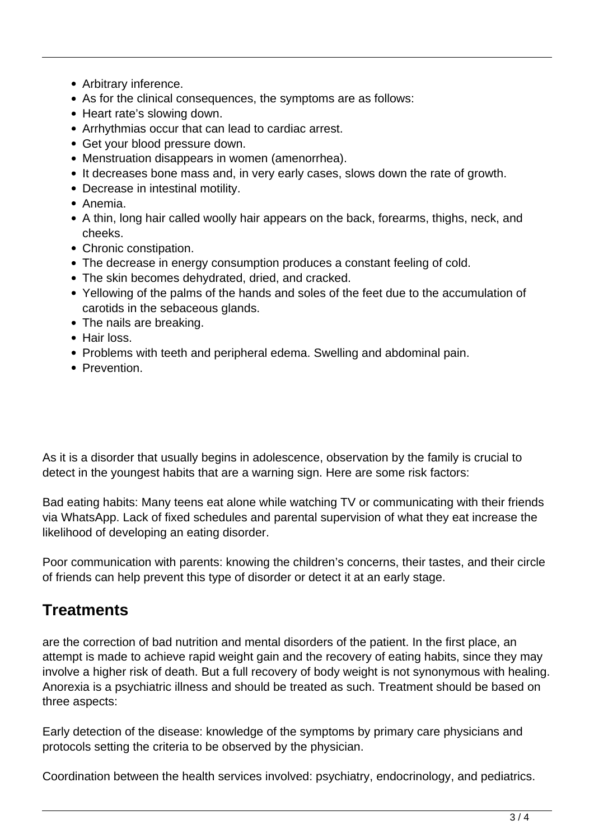- Arbitrary inference.
- As for the clinical consequences, the symptoms are as follows:
- Heart rate's slowing down.
- Arrhythmias occur that can lead to cardiac arrest.
- Get your blood pressure down.
- Menstruation disappears in women (amenorrhea).
- It decreases bone mass and, in very early cases, slows down the rate of growth.
- Decrease in intestinal motility.
- Anemia.
- A thin, long hair called woolly hair appears on the back, forearms, thighs, neck, and cheeks.
- Chronic constipation.
- The decrease in energy consumption produces a constant feeling of cold.
- The skin becomes dehydrated, dried, and cracked.
- Yellowing of the palms of the hands and soles of the feet due to the accumulation of carotids in the sebaceous glands.
- The nails are breaking.
- Hair loss.
- Problems with teeth and peripheral edema. Swelling and abdominal pain.
- Prevention.

As it is a disorder that usually begins in adolescence, observation by the family is crucial to detect in the youngest habits that are a warning sign. Here are some risk factors:

Bad eating habits: Many teens eat alone while watching TV or communicating with their friends via WhatsApp. Lack of fixed schedules and parental supervision of what they eat increase the likelihood of developing an eating disorder.

Poor communication with parents: knowing the children's concerns, their tastes, and their circle of friends can help prevent this type of disorder or detect it at an early stage.

## **Treatments**

are the correction of bad nutrition and mental disorders of the patient. In the first place, an attempt is made to achieve rapid weight gain and the recovery of eating habits, since they may involve a higher risk of death. But a full recovery of body weight is not synonymous with healing. Anorexia is a psychiatric illness and should be treated as such. Treatment should be based on three aspects:

Early detection of the disease: knowledge of the symptoms by primary care physicians and protocols setting the criteria to be observed by the physician.

Coordination between the health services involved: psychiatry, endocrinology, and pediatrics.